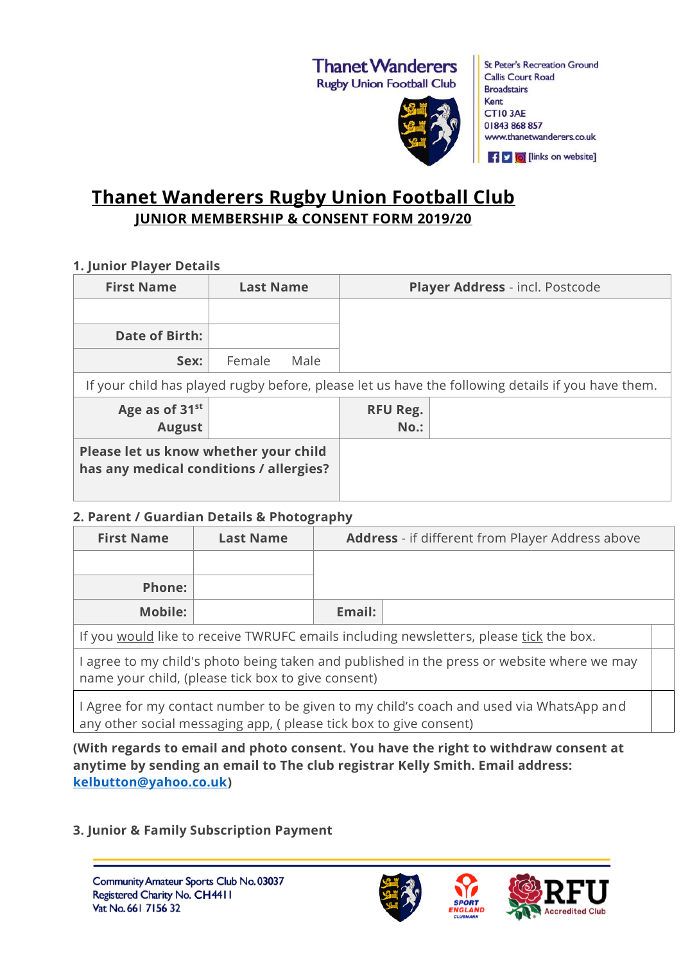# **Thanet Wanderers**

**Rugby Union Football Club** 



**St Peter's Recreation Ground Callis Court Road Broadstairs** Kent CTI03AE 01843 868 857 www.thanetwanderers.co.uk

**f v d** [links on website]

## **Thanet Wanderers Rugby Union Football Club JUNIOR MEMBERSHIP & CONSENT FORM 2019/20**

#### **1. Junior Player Details**

| <b>First Name</b>                                                                                 | <b>Last Name</b> | Player Address - incl. Postcode |  |  |
|---------------------------------------------------------------------------------------------------|------------------|---------------------------------|--|--|
|                                                                                                   |                  |                                 |  |  |
| Date of Birth:                                                                                    |                  |                                 |  |  |
| Sex:                                                                                              | Female<br>Male   |                                 |  |  |
| If your child has played rugby before, please let us have the following details if you have them. |                  |                                 |  |  |
| Age as of 31 <sup>st</sup><br><b>August</b>                                                       |                  | <b>RFU Reg.</b><br>$No.$ :      |  |  |
| Please let us know whether your child<br>has any medical conditions / allergies?                  |                  |                                 |  |  |

#### **2. Parent / Guardian Details & Photography**

| <b>First Name</b>                                                                                                                                            | <b>Last Name</b> | <b>Address</b> - if different from Player Address above |  |  |
|--------------------------------------------------------------------------------------------------------------------------------------------------------------|------------------|---------------------------------------------------------|--|--|
|                                                                                                                                                              |                  |                                                         |  |  |
| <b>Phone:</b>                                                                                                                                                |                  |                                                         |  |  |
| Mobile:                                                                                                                                                      |                  | Email:                                                  |  |  |
| If you would like to receive TWRUFC emails including newsletters, please tick the box.                                                                       |                  |                                                         |  |  |
| I agree to my child's photo being taken and published in the press or website where we may<br>name your child, (please tick box to give consent)             |                  |                                                         |  |  |
| I Agree for my contact number to be given to my child's coach and used via WhatsApp and<br>any other social messaging app, (please tick box to give consent) |                  |                                                         |  |  |

**(With regards to email and photo consent. You have the right to withdraw consent at anytime by sending an email to The club registrar Kelly Smith. Email address: [kelbutton@yahoo.co.uk\)](mailto:kelbutton@yahoo.co.uk)**

**3. Junior & Family Subscription Payment**





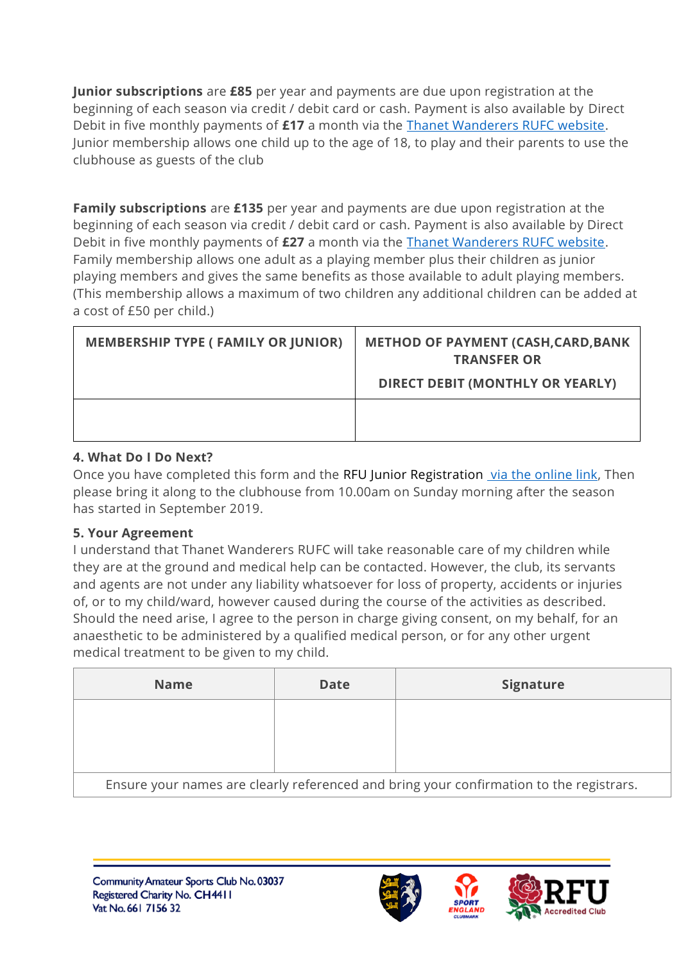**Junior subscriptions** are **£85** per year and payments are due upon registration at the beginning of each season via credit / debit card or cash. Payment is also available by Direct Debit in five monthly payments of **£17** a month via the [Thanet Wanderers RUFC website.](http://www.thanetwanderers.co.uk/) Junior membership allows one child up to the age of 18, to play and their parents to use the clubhouse as guests of the club

**Family subscriptions** are **£135** per year and payments are due upon registration at the beginning of each season via credit / debit card or cash. Payment is also available by Direct Debit in five monthly payments of **£27** a month via the [Thanet Wanderers RUFC website.](http://www.thanetwanderers.co.uk/) Family membership allows one adult as a playing member plus their children as junior playing members and gives the same benefits as those available to adult playing members. (This membership allows a maximum of two children any additional children can be added at a cost of £50 per child.)

| <b>MEMBERSHIP TYPE (FAMILY OR JUNIOR)</b> | <b>METHOD OF PAYMENT (CASH, CARD, BANK</b><br><b>TRANSFER OR</b><br><b>DIRECT DEBIT (MONTHLY OR YEARLY)</b> |
|-------------------------------------------|-------------------------------------------------------------------------------------------------------------|
|                                           |                                                                                                             |

### **4. What Do I Do Next?**

Once you have completed this form and the RFU Junior Registration via the online link, Then please bring it along to the clubhouse from 10.00am on Sunday morning after the season has started in September 2019.

## **5. Your Agreement**

I understand that Thanet Wanderers RUFC will take reasonable care of my children while they are at the ground and medical help can be contacted. However, the club, its servants and agents are not under any liability whatsoever for loss of property, accidents or injuries of, or to my child/ward, however caused during the course of the activities as described. Should the need arise, I agree to the person in charge giving consent, on my behalf, for an anaesthetic to be administered by a qualified medical person, or for any other urgent medical treatment to be given to my child.

| <b>Name</b>                                                                             | <b>Date</b> | <b>Signature</b> |  |  |
|-----------------------------------------------------------------------------------------|-------------|------------------|--|--|
|                                                                                         |             |                  |  |  |
|                                                                                         |             |                  |  |  |
| Ensure your names are clearly referenced and bring your confirmation to the registrars. |             |                  |  |  |